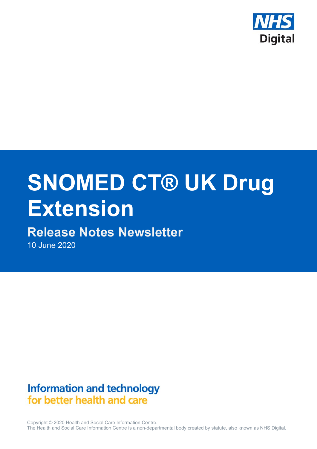

# **SNOMED CT® UK Drug Extension**

# **Release Notes Newsletter**

10 June 2020

# **Information and technology** for better health and care

Copyright © 2020 Health and Social Care Information Centre. The Health and Social Care Information Centre is a non-departmental body created by statute, also known as NHS Digital.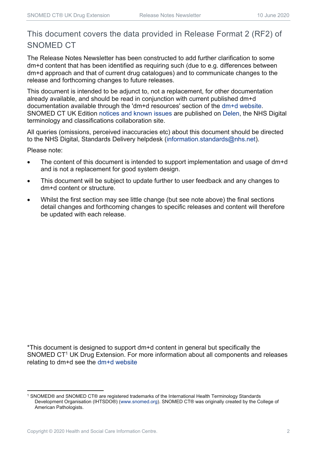## This document covers the data provided in Release Format 2 (RF2) of SNOMED CT

The Release Notes Newsletter has been constructed to add further clarification to some dm+d content that has been identified as requiring such (due to e.g. differences between dm+d approach and that of current drug catalogues) and to communicate changes to the release and forthcoming changes to future releases.

This document is intended to be adjunct to, not a replacement, for other documentation already available, and should be read in conjunction with current published dm+d documentation available through the 'dm+d resources' section of the dm+d website. SNOMED CT UK Edition notices and known issues are published on Delen, the NHS Digital terminology and classifications collaboration site.

All queries (omissions, perceived inaccuracies etc) about this document should be directed to the NHS Digital, Standards Delivery helpdesk (information.standards@nhs.net).

Please note:

- The content of this document is intended to support implementation and usage of dm+d and is not a replacement for good system design.
- This document will be subject to update further to user feedback and any changes to dm+d content or structure.
- Whilst the first section may see little change (but see note above) the final sections detail changes and forthcoming changes to specific releases and content will therefore be updated with each release.

\*This document is designed to support dm+d content in general but specifically the SNOMED CT<sup>1</sup> UK Drug Extension. For more information about all components and releases relating to dm+d see the dm+d website

<sup>1</sup> SNOMED® and SNOMED CT® are registered trademarks of the International Health Terminology Standards Development Organisation (IHTSDO®) (www.snomed.org). SNOMED CT® was originally created by the College of American Pathologists.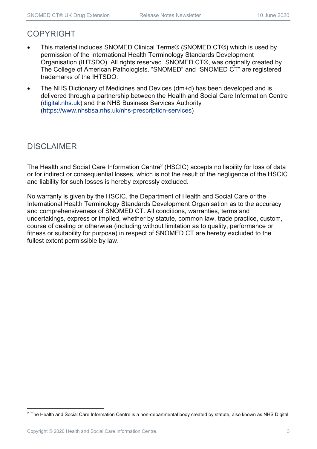## COPYRIGHT

- This material includes SNOMED Clinical Terms® (SNOMED CT®) which is used by permission of the International Health Terminology Standards Development Organisation (IHTSDO). All rights reserved. SNOMED CT®, was originally created by The College of American Pathologists. "SNOMED" and "SNOMED CT" are registered trademarks of the IHTSDO.
- The NHS Dictionary of Medicines and Devices (dm+d) has been developed and is delivered through a partnership between the Health and Social Care Information Centre (digital.nhs.uk) and the NHS Business Services Authority (https://www.nhsbsa.nhs.uk/nhs-prescription-services)

## DISCLAIMER

The Health and Social Care Information Centre<sup>2</sup> (HSCIC) accepts no liability for loss of data or for indirect or consequential losses, which is not the result of the negligence of the HSCIC and liability for such losses is hereby expressly excluded.

No warranty is given by the HSCIC, the Department of Health and Social Care or the International Health Terminology Standards Development Organisation as to the accuracy and comprehensiveness of SNOMED CT. All conditions, warranties, terms and undertakings, express or implied, whether by statute, common law, trade practice, custom, course of dealing or otherwise (including without limitation as to quality, performance or fitness or suitability for purpose) in respect of SNOMED CT are hereby excluded to the fullest extent permissible by law.

 $2$  The Health and Social Care Information Centre is a non-departmental body created by statute, also known as NHS Digital.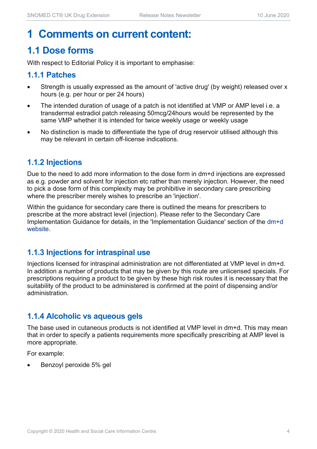# **1 Comments on current content:**

## **1.1 Dose forms**

With respect to Editorial Policy it is important to emphasise:

#### **1.1.1 Patches**

- Strength is usually expressed as the amount of 'active drug' (by weight) released over x hours (e.g. per hour or per 24 hours)
- The intended duration of usage of a patch is not identified at VMP or AMP level i.e. a transdermal estradiol patch releasing 50mcg/24hours would be represented by the same VMP whether it is intended for twice weekly usage or weekly usage
- No distinction is made to differentiate the type of drug reservoir utilised although this may be relevant in certain off-license indications.

#### **1.1.2 Injections**

Due to the need to add more information to the dose form in dm+d injections are expressed as e.g. powder and solvent for injection etc rather than merely injection. However, the need to pick a dose form of this complexity may be prohibitive in secondary care prescribing where the prescriber merely wishes to prescribe an 'injection'.

Within the guidance for secondary care there is outlined the means for prescribers to prescribe at the more abstract level (injection). Please refer to the Secondary Care Implementation Guidance for details, in the 'Implementation Guidance' section of the dm+d website.

#### **1.1.3 Injections for intraspinal use**

Injections licensed for intraspinal administration are not differentiated at VMP level in dm+d. In addition a number of products that may be given by this route are unlicensed specials. For prescriptions requiring a product to be given by these high risk routes it is necessary that the suitability of the product to be administered is confirmed at the point of dispensing and/or administration.

#### **1.1.4 Alcoholic vs aqueous gels**

The base used in cutaneous products is not identified at VMP level in dm+d. This may mean that in order to specify a patients requirements more specifically prescribing at AMP level is more appropriate.

For example:

Benzoyl peroxide 5% gel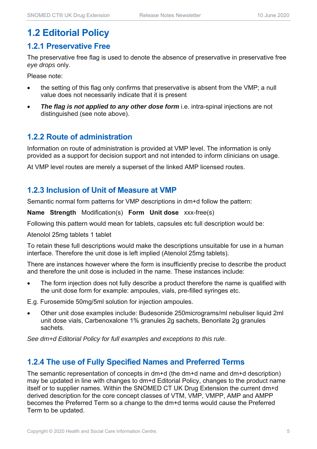## **1.2 Editorial Policy**

#### **1.2.1 Preservative Free**

The preservative free flag is used to denote the absence of preservative in preservative free *eye drops* only.

Please note:

- the setting of this flag only confirms that preservative is absent from the VMP; a null value does not necessarily indicate that it is present
- **The flag is not applied to any other dose form** i.e. intra-spinal injections are not distinguished (see note above).

#### **1.2.2 Route of administration**

Information on route of administration is provided at VMP level. The information is only provided as a support for decision support and not intended to inform clinicians on usage.

At VMP level routes are merely a superset of the linked AMP licensed routes.

#### **1.2.3 Inclusion of Unit of Measure at VMP**

Semantic normal form patterns for VMP descriptions in dm+d follow the pattern:

**Name Strength** Modification(s) **Form Unit dose** xxx-free(s)

Following this pattern would mean for tablets, capsules etc full description would be:

Atenolol 25mg tablets 1 tablet

To retain these full descriptions would make the descriptions unsuitable for use in a human interface. Therefore the unit dose is left implied (Atenolol 25mg tablets).

There are instances however where the form is insufficiently precise to describe the product and therefore the unit dose is included in the name. These instances include:

 The form injection does not fully describe a product therefore the name is qualified with the unit dose form for example: ampoules, vials, pre-filled syringes etc.

E.g. Furosemide 50mg/5ml solution for injection ampoules.

 Other unit dose examples include: Budesonide 250micrograms/ml nebuliser liquid 2ml unit dose vials, Carbenoxalone 1% granules 2g sachets, Benorilate 2g granules sachets.

*See dm+d Editorial Policy for full examples and exceptions to this rule.* 

#### **1.2.4 The use of Fully Specified Names and Preferred Terms**

The semantic representation of concepts in dm+d (the dm+d name and dm+d description) may be updated in line with changes to dm+d Editorial Policy, changes to the product name itself or to supplier names. Within the SNOMED CT UK Drug Extension the current dm+d derived description for the core concept classes of VTM, VMP, VMPP, AMP and AMPP becomes the Preferred Term so a change to the dm+d terms would cause the Preferred Term to be updated.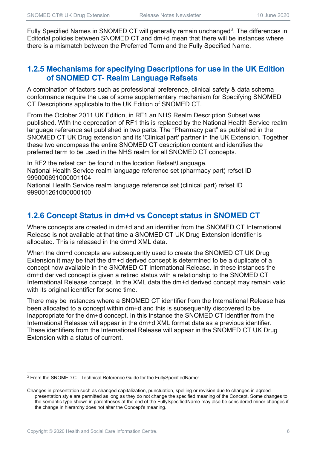Fully Specified Names in SNOMED CT will generally remain unchanged<sup>3</sup>. The differences in Editorial policies between SNOMED CT and dm+d mean that there will be instances where there is a mismatch between the Preferred Term and the Fully Specified Name.

#### **1.2.5 Mechanisms for specifying Descriptions for use in the UK Edition of SNOMED CT- Realm Language Refsets**

A combination of factors such as professional preference, clinical safety & data schema conformance require the use of some supplementary mechanism for Specifying SNOMED CT Descriptions applicable to the UK Edition of SNOMED CT.

From the October 2011 UK Edition, in RF1 an NHS Realm Description Subset was published. With the deprecation of RF1 this is replaced by the National Health Service realm language reference set published in two parts. The "Pharmacy part" as published in the SNOMED CT UK Drug extension and its 'Clinical part' partner in the UK Extension. Together these two encompass the entire SNOMED CT description content and identifies the preferred term to be used in the NHS realm for all SNOMED CT concepts.

In RF2 the refset can be found in the location Refset\Language. National Health Service realm language reference set (pharmacy part) refset ID 999000691000001104

National Health Service realm language reference set (clinical part) refset ID 999001261000000100

#### **1.2.6 Concept Status in dm+d vs Concept status in SNOMED CT**

Where concepts are created in dm+d and an identifier from the SNOMED CT International Release is not available at that time a SNOMED CT UK Drug Extension identifier is allocated. This is released in the dm+d XML data.

When the dm+d concepts are subsequently used to create the SNOMED CT UK Drug Extension it may be that the dm+d derived concept is determined to be a duplicate of a concept now available in the SNOMED CT International Release. In these instances the dm+d derived concept is given a retired status with a relationship to the SNOMED CT International Release concept. In the XML data the dm+d derived concept may remain valid with its original identifier for some time.

There may be instances where a SNOMED CT identifier from the International Release has been allocated to a concept within dm+d and this is subsequently discovered to be inappropriate for the dm+d concept. In this instance the SNOMED CT identifier from the International Release will appear in the dm+d XML format data as a previous identifier. These identifiers from the International Release will appear in the SNOMED CT UK Drug Extension with a status of current.

<sup>3</sup> From the SNOMED CT Technical Reference Guide for the FullySpecifiedName:

Changes in presentation such as changed capitalization, punctuation, spelling or revision due to changes in agreed presentation style are permitted as long as they do not change the specified meaning of the Concept. Some changes to the semantic type shown in parentheses at the end of the FullySpecifiedName may also be considered minor changes if the change in hierarchy does not alter the Concept's meaning.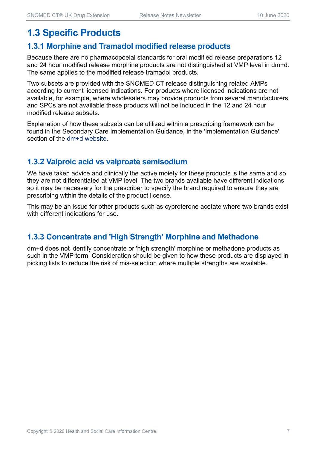## **1.3 Specific Products**

#### **1.3.1 Morphine and Tramadol modified release products**

Because there are no pharmacopoeial standards for oral modified release preparations 12 and 24 hour modified release morphine products are not distinguished at VMP level in dm+d. The same applies to the modified release tramadol products.

Two subsets are provided with the SNOMED CT release distinguishing related AMPs according to current licensed indications. For products where licensed indications are not available, for example, where wholesalers may provide products from several manufacturers and SPCs are not available these products will not be included in the 12 and 24 hour modified release subsets.

Explanation of how these subsets can be utilised within a prescribing framework can be found in the Secondary Care Implementation Guidance, in the 'Implementation Guidance' section of the dm+d website.

#### **1.3.2 Valproic acid vs valproate semisodium**

We have taken advice and clinically the active moiety for these products is the same and so they are not differentiated at VMP level. The two brands available have different indications so it may be necessary for the prescriber to specify the brand required to ensure they are prescribing within the details of the product license.

This may be an issue for other products such as cyproterone acetate where two brands exist with different indications for use.

#### **1.3.3 Concentrate and 'High Strength' Morphine and Methadone**

dm+d does not identify concentrate or 'high strength' morphine or methadone products as such in the VMP term. Consideration should be given to how these products are displayed in picking lists to reduce the risk of mis-selection where multiple strengths are available.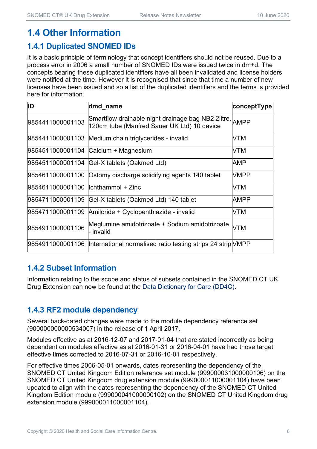## **1.4 Other Information**

#### **1.4.1 Duplicated SNOMED IDs**

It is a basic principle of terminology that concept identifiers should not be reused. Due to a process error in 2006 a small number of SNOMED IDs were issued twice in dm+d. The concepts bearing these duplicated identifiers have all been invalidated and license holders were notified at the time. However it is recognised that since that time a number of new licenses have been issued and so a list of the duplicated identifiers and the terms is provided here for information.

| <b>ID</b>                            | dmd_name                                                                                               | conceptType |
|--------------------------------------|--------------------------------------------------------------------------------------------------------|-------------|
| 9854411000001103                     | Smartflow drainable night drainage bag NB2 2litre, AMPP<br>120cm tube (Manfred Sauer UK Ltd) 10 device |             |
|                                      | 9854411000001103 Medium chain triglycerides - invalid                                                  | VTM         |
|                                      | 9854511000001104 Calcium + Magnesium                                                                   | VTM         |
|                                      | 9854511000001104 Gel-X tablets (Oakmed Ltd)                                                            | AMP         |
|                                      | 9854611000001100 Ostomy discharge solidifying agents 140 tablet                                        | <b>VMPP</b> |
| l9854611000001100 llchthammol + Zinc |                                                                                                        | VTM         |
| 9854711000001109                     | Gel-X tablets (Oakmed Ltd) 140 tablet                                                                  | AMPP        |
| 9854711000001109                     | Amiloride + Cyclopenthiazide - invalid                                                                 | VTM         |
| 9854911000001106                     | Meglumine amidotrizoate + Sodium amidotrizoate<br>- invalid                                            | VTM         |
| 9854911000001106                     | International normalised ratio testing strips 24 strip VMPP                                            |             |

#### **1.4.2 Subset Information**

Information relating to the scope and status of subsets contained in the SNOMED CT UK Drug Extension can now be found at the Data Dictionary for Care (DD4C).

#### **1.4.3 RF2 module dependency**

Several back-dated changes were made to the module dependency reference set (900000000000534007) in the release of 1 April 2017.

Modules effective as at 2016-12-07 and 2017-01-04 that are stated incorrectly as being dependent on modules effective as at 2016-01-31 or 2016-04-01 have had those target effective times corrected to 2016-07-31 or 2016-10-01 respectively.

For effective times 2006-05-01 onwards, dates representing the dependency of the SNOMED CT United Kingdom Edition reference set module (999000031000000106) on the SNOMED CT United Kingdom drug extension module (999000011000001104) have been updated to align with the dates representing the dependency of the SNOMED CT United Kingdom Edition module (999000041000000102) on the SNOMED CT United Kingdom drug extension module (999000011000001104).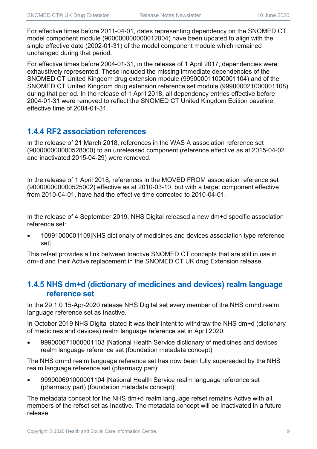For effective times before 2011-04-01, dates representing dependency on the SNOMED CT model component module (900000000000012004) have been updated to align with the single effective date (2002-01-31) of the model component module which remained unchanged during that period.

For effective times before 2004-01-31, in the release of 1 April 2017, dependencies were exhaustively represented. These included the missing immediate dependencies of the SNOMED CT United Kingdom drug extension module (999000011000001104) and of the SNOMED CT United Kingdom drug extension reference set module (999000021000001108) during that period. In the release of 1 April 2018, all dependency entries effective before 2004-01-31 were removed to reflect the SNOMED CT United Kingdom Edition baseline effective time of 2004-01-31.

#### **1.4.4 RF2 association references**

In the release of 21 March 2018, references in the WAS A association reference set (900000000000528000) to an unreleased component (reference effective as at 2015-04-02 and inactivated 2015-04-29) were removed.

In the release of 1 April 2018, references in the MOVED FROM association reference set (900000000000525002) effective as at 2010-03-10, but with a target component effective from 2010-04-01, have had the effective time corrected to 2010-04-01.

In the release of 4 September 2019, NHS Digital released a new dm+d specific association reference set:

 10991000001109|NHS dictionary of medicines and devices association type reference set|

This refset provides a link between Inactive SNOMED CT concepts that are still in use in dm+d and their Active replacement in the SNOMED CT UK drug Extension release.

#### **1.4.5 NHS dm+d (dictionary of medicines and devices) realm language reference set**

In the 29.1.0 15-Apr-2020 release NHS Digital set every member of the NHS dm+d realm language reference set as Inactive.

In October 2019 NHS Digital stated it was their intent to withdraw the NHS dm+d (dictionary of medicines and devices) realm language reference set in April 2020:

 999000671000001103 |National Health Service dictionary of medicines and devices realm language reference set (foundation metadata concept)|

The NHS dm+d realm language reference set has now been fully superseded by the NHS realm language reference set (pharmacy part):

 999000691000001104 |National Health Service realm language reference set (pharmacy part) (foundation metadata concept)|

The metadata concept for the NHS dm+d realm language refset remains Active with all members of the refset set as Inactive. The metadata concept will be Inactivated in a future release.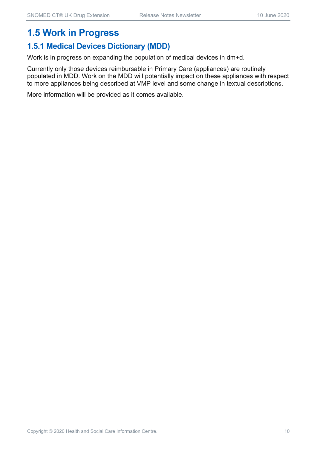## **1.5 Work in Progress**

#### **1.5.1 Medical Devices Dictionary (MDD)**

Work is in progress on expanding the population of medical devices in dm+d.

Currently only those devices reimbursable in Primary Care (appliances) are routinely populated in MDD. Work on the MDD will potentially impact on these appliances with respect to more appliances being described at VMP level and some change in textual descriptions.

More information will be provided as it comes available.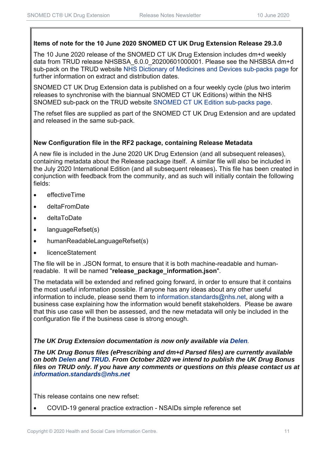#### **Items of note for the 10 June 2020 SNOMED CT UK Drug Extension Release 29.3.0**

The 10 June 2020 release of the SNOMED CT UK Drug Extension includes dm+d weekly data from TRUD release NHSBSA 6.0.0 20200601000001. Please see the NHSBSA dm+d sub-pack on the TRUD website NHS Dictionary of Medicines and Devices sub-packs page for further information on extract and distribution dates.

SNOMED CT UK Drug Extension data is published on a four weekly cycle (plus two interim releases to synchronise with the biannual SNOMED CT UK Editions) within the NHS SNOMED sub-pack on the TRUD website SNOMED CT UK Edition sub-packs page.

The refset files are supplied as part of the SNOMED CT UK Drug Extension and are updated and released in the same sub-pack.

#### **New Configuration file in the RF2 package, containing Release Metadata**

A new file is included in the June 2020 UK Drug Extension (and all subsequent releases), containing metadata about the Release package itself. A similar file will also be included in the July 2020 International Edition (and all subsequent releases)**.** This file has been created in conjunction with feedback from the community, and as such will initially contain the following fields:

- **e** effectiveTime
- deltaFromDate
- deltaToDate
- languageRefset(s)
- humanReadableLanguageRefset(s)
- licenceStatement

The file will be in .JSON format, to ensure that it is both machine-readable and humanreadable. It will be named "**release\_package\_information.json**".

The metadata will be extended and refined going forward, in order to ensure that it contains the most useful information possible. If anyone has any ideas about any other useful information to include, please send them to information.standards@nhs.net, along with a business case explaining how the information would benefit stakeholders. Please be aware that this use case will then be assessed, and the new metadata will only be included in the configuration file if the business case is strong enough.

#### *The UK Drug Extension documentation is now only available via Delen.*

*The UK Drug Bonus files (ePrescribing and dm+d Parsed files) are currently available on both Delen and TRUD. From October 2020 we intend to publish the UK Drug Bonus files on TRUD only. If you have any comments or questions on this please contact us at information.standards@nhs.net*

This release contains one new refset:

COVID-19 general practice extraction - NSAIDs simple reference set